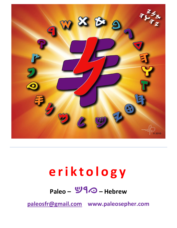

# **e r i k t o l o g y**

# **Paleo –** *kri***– Hebrew**

**[paleosfr@gmail.com](mailto:paleosfr@gmail.com) www.paleosepher.com**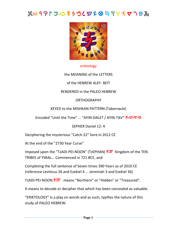### *c r q x p u s n m l k y f j z w h d g b*



#### eriktology

the MEANING of the LETTERS

of the HEBREW ALEF- BEIT

#### RENDERED in the PALEO HEBREW

#### **ORTHOGRAPHY**

#### KEYED to the MISHKAN PATTERN (Tabernacle)

Encoded "Until the Time" ... "AYIN-DALET / AYIN-TAV" **X**O\**V**O

#### SEPHER Daniel 12: 4

Deciphering the mysterious "Catch-22" here in 2012 CE

At the end of the "2730 Year Curse"

Imposed upon the "TzADI-PEI-NOON" (TzEPHAN)  $\frac{1}{2}$  Kingdom of the TEN TRIBES of YSRAL... Commenced in 721 BCE, and

Completing the full sentence of Seven times 390 Years as of 2010 CE (reference Leviticus 26 and Ezekiel 4 ... Jeremiah 3 and Ezekiel 36)

TzADI-PEI-NOON  $\overline{2J}^{\prime\prime}$  means "Northern" or "Hidden" or "Treasured".

It means to decode or decipher that which has been concealed as valuable.

"ERIKTOLOGY" Is a play on words and as such, typifies the nature of this study of PALEO HEBREW.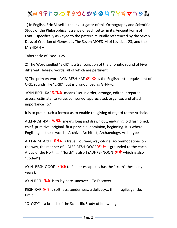1) In English, Eric Bissell is the Investigator of this Orthography and Scientific Study of the Philosophical Essence of each Letter in it's Ancient Form of Font... specifically as keyed to the pattern mutually referenced by the Seven Days of Creation of Genesis 1, The Seven MOEDIM of Leviticus 23, and the MISHKAN –

Tabernacle of Exodus 25.

2) The Word spelled "ERIK" is a transcription of the phonetic sound of Five different Hebrew words, all of which are pertinent.

3) The primary word AYIN-RESH-KAF **99**<sup>2</sup> is the English letter equivalent of ORK, sounds like "ERIK", but is pronounced as GH-R-K.

AYIN-RESH-KAF **99** means "set in order, arrange, edited, prepared, assess, estimate, to value, compared, appreciated, organize, and attach importance to"

It is to put in such a format as to enable the giving of regard to the Archaic.

ALEF-RESH-KAF **WIX** means long and drawn out, enduring, old fashioned, chief, primitive, original, first principle, dominion, beginning. It is where English gets these words : Archive, Architect, Archaeology, Archetype

ALEF-RESH-CxET **49X** is travel, journey, way-of-life, accommodations on the way, the manner of... ALEF-RESH-QOOF **PIX** is grounded to the earth, Arctic of the North... ("North" is also TzADI-PEI-NOON  $\overline{20}^{\mu}$  which is also "Coded")

AYIN -RESH-QOOF **PIO** to flee or escape (as has the "truth" these any years).

AYIN-RESH **9**<sup>2</sup> is to lay bare, uncover... To Discover...

RESH-KAF <sup>91</sup> is softness, tenderness, a delicacy... thin, fragile, gentle, timid.

"OLOGY" is a branch of the Scientific Study of Knowledge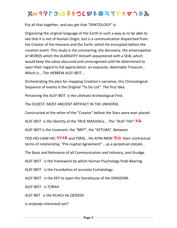# $x^2 + y^2 + 2$  *a k y x b t y x y x y x y x y x y x y x y x y x y x y x y x y x y x y x y x y x y x y x y x y x y x y x*

Put all that together, and you get that "ERIKTOLOGY" is:

Organizing the original language of the Earth in such a way as to be able to see that it is not of Human Origin, but is a communication dispatched from the Creator of the Heavens and the Earth, which He encrypted before the creation event. This study is the uncovering, the discovery, the emancipation of WORDS which the ALMIGHTY Himself sequestered with a SEAL which would keep the value obscured and unrecognized until He determined to open their regard to full appreciation: an exquisite, delectable Treasure... Which is... The HEBREW ALEF-BEIT...

Orchestrating the plan for mapping Creation's narrative, this Chronological Sequence of events is the Original "To Do List". The first Idea.

Perceiving the ALEF-BEIT is the ultimate Archeological Find.

The OLDEST, MOST ANCIENT ARTIFACT IN THE UNIVERSE.

Constructed at the whim of the "Creator" before the Stars were ever placed.

ALEF-BEIT is the Identity of the TRUE MASHIACx... The "ALEF-TAV" XX

ALEF-BEIT is the Covenant, the "BRIT", the "KETUBA", Between

YOD-HEI-UAW-HEI **3Y37** and YSRAL, His AYIN-MEM **ツ**o: their contractual terms of relationship, "Pre-nuptial Agreement" ...as a perpetual statute...

The Basis and Reference of all Communication and Intimacy, and Grudge.

ALEF-BEIT is the framework by which Human Psychology finds Bearing.

ALEF-BEIT is the Foundation of accurate Eschatology.

ALEF-BEIT is the KEY to open the Storehouse of the KINGDOM.

ALEF-BEIT is TORAH

ALEF-BET is the RUACx Ha QODESh

Is anybody interested yet?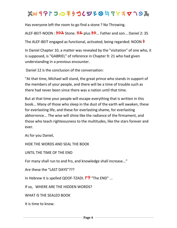Has everyone left the room to go find a stone ? No Throwing.

ALEF-BEIT-NOON :  $\frac{1}{9}$ <sup>\*</sup> Stone. <sup>9</sub><sup>\*</sup> plus  $\frac{1}{9}$ ... Father and son... Daniel 2: 35</sup>

The ALEF-BEIT engaged as functional, activated, being regarded: NOON *n*

In Daniel Chapter 10, a matter was revealed by the "visitation" of one who, it is supposed, is "GABRIEL" of reference in Chapter 9: 21 who had given understanding in a previous encounter.

Daniel 12 is the conclusion of the conversation:

"At that time, Michael will stand, the great prince who stands in support of the members of your people, and there will be a time of trouble such as there had never been since there was a nation until that time.

But at that time your people will escape everything that is written in this book... Many of those who sleep in the dust of the earth will awaken, these for everlasting life, and these for everlasting shame, for everlasting abhorrence... The wise will shine like the radiance of the firmament, and those who teach righteousness to the multitudes, like the stars forever and ever.

As for you Daniel,

HIDE THE WORDS AND SEAL THE BOOK

UNTIL THE TIME OF THE END

For many shall run to and fro, and knowledge shall increase..."

Are these the "LAST DAYS"???

In Hebrew it is spelled QOOF-TZADI. **<sup>p</sup>P** "The END" ...

If so, WHERE ARE THE HIDDEN WORDS?

WHAT IS THE SEALED BOOK

It is time to know.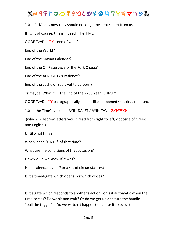# $x^2 + y^2 + 2$  *a h n a f y i y h a h y i y h a h y i y n a h y i y n y i y i y i y i y i y i y i y i y i y i y i y i y*

"Until" Means now they should no longer be kept secret from us

IF ... If, of course, this is indeed "The TIME".

QOOF-TzADI: <sup>r</sup>P end of what?

End of the World?

End of the Mayan Calendar?

End of the Oil Reserves ? of the Pork Chops?

End of the ALMIGHTY's Patience?

End of the cache of Souls yet to be born?

or maybe, What if.... The End of the 2730 Year "CURSE"

QOOF-TzADI <sup>ro</sup> pictographically a looks like an opened shackle... released.

"Until the Time" is spelled AYIN-DALET / AYIN-TAV  $\bigotimes \bigotimes \nabla \bigotimes$ 

(which in Hebrew letters would read from right to left, opposite of Greek and English.)

Until what time?

When is the "UNTIL" of that time?

What are the conditions of that occasion?

How would we know if it was?

Is it a calendar event? or a set of circumstances?

Is it a timed-gate which opens? or which closes?

Is it a gate which responds to another's action? or is it automatic when the time comes? Do we sit and wait? Or do we get up and turn the handle... "pull the trigger"... Do we watch it happen? or cause it to occur?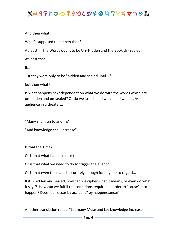And then what?

What's supposed to happen then?

At least.... The Words ought to be Un- Hidden and the Book Un-Sealed.

At least that...

 $If...$ 

...If they were only to be "hidden and sealed until... "

but then what?

Is what happens next dependent on what we do with the words which are un-hidden and un-sealed? Or do we just sit and watch and wait .... As an audience in a theater...

"Many shall run to and fro"

"And knowledge shall increase"

Is that the Time?

Or is that what happens next?

Or is that what we need to do to trigger the event?

Or is that even translated accurately enough for anyone to regard...

If it is hidden and sealed, how can we cipher what it means, or even do what it says? How can we fulfill the conditions required in order to "cause" it to happen? Does it all occur by accident? by happenstance?

Another translation reads: "Let many Muse and Let knowledge increase"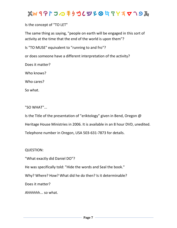### $x^2 + y^2 + 2$  *a h n a f y i y n y i y i y i y i y i y i y i y i y i y i y i y i y i y i y i y i y i y i y i y i y i y*

Is the concept of "TO LET"

The same thing as saying, "people on earth will be engaged in this sort of activity at the time that the end of the world is upon them"?

Is "TO MUSE" equivalent to "running to and fro"?

or does someone have a different interpretation of the activity?

Does it matter?

Who knows?

Who cares?

So what.

"SO WHAT"...

Is the Title of the presentation of "eriktology" given in Bend, Oregon @ Heritage House Ministries in 2006. It is available in an 8 hour DVD, unedited. Telephone number in Oregon, USA 503-631-7873 for details.

QUESTION:

"What exactly did Daniel DO"?

He was specifically told: "Hide the words and Seal the book."

Why? Where? How? What did he do then? Is it determinable?

Does it matter?

Ahhhhhh... so what.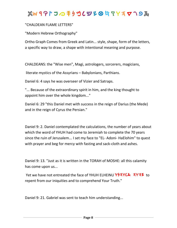#### "CHALDEAN FLAME LETTERS"

"Modern Hebrew Orthography"

Ortho Graph Comes from Greek and Latin... style, shape, form of the letters, a specific way to draw, a shape with intentional meaning and purpose.

CHALDEANS: the "Wise men", Magi, astrologers, sorcerers, magicians,

literate mystics of the Assyrians – Babylonians, Parthians.

Daniel 6: 4 says he was overseer of Vizier and Satraps.

"... Because of the extraordinary spirit in him, and the king thought to appoint him over the whole kingdom..."

Daniel 6: 29 "this Daniel met with success in the reign of Darius (the Mede) and in the reign of Cyrus the Persian."

Daniel 9: 2. Daniel contemplated the calculations, the number of years about which the word of YHUH had come to Jeremiah to complete the 70 years since the ruin of Jerusalem... I set my face to "EL- Adoni- HaElohim" to quest with prayer and beg for mercy with fasting and sack-cloth and ashes.

Daniel 9: 13. "Just as it is written in the TORAH of MOSHE: all this calamity has come upon us...

Yet we have not entreated the face of YHUH ELHEINU **Y54YCA 4Y47** to repent from our iniquities and to comprehend Your Truth."

Daniel 9: 21. Gabriel was sent to teach him understanding...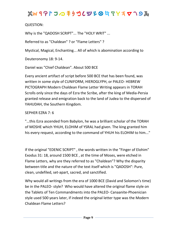QUESTION:

Why is the "QADOSH SCRIPT"... The "HOLY WRIT" ...

Referred to as "Chaldean" ? or "Flame Letters" ?

Mystical, Magical, Enchanting... All of which is abomination according to

Deuteronomy 18: 9-14.

Daniel was "Chief Chaldean". About 500 BCE

Every ancient artifact of script before 500 BCE that has been found, was written in some style of CUNIFORM, HIEROGLYPH, or PALEO- HEBREW PICTOGRAPH Modern Chaldean Flame Letter Writing appears in TORAH Scrolls only since the days of Ezra the Scribe, after the king of Media-Persia granted release and emigration back to the land of Judea to the dispersed of YAHUDAH, the Southern Kingdom.

#### SEPHER EZRA 7: 6

"…this Ezra ascended from Babylon, he was a brilliant scholar of the TORAH of MOSHE which YHUH, ELOHIM of YSRAL had given. The king granted him his every request, according to the command of YHUH his ELOHIM to him..."

If the original "EDENIC SCRIPT" , the words written in the "Finger of Elohim" Exodus 31: 18, around 1500 BCE , at the time of Moses, were etched in Flame Letters, why are they referred to as "Chaldean"? Why the disparity between title and the nature of the text itself which is "QADOSH": Pure, clean, undefiled, set-apart, sacred, and sanctified.

Why would all writings from the era of 1000 BCE (David and Solomon's time) be in the PALEO- style? Who would have altered the original flame style on the Tablets of Ten Commandments into the PALEO- Canaanite-Phoenician style used 500 years later, if indeed the original letter type was the Modern Chaldean Flame Letters?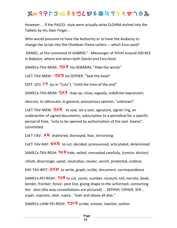### $x^2 + y^2 + 2$  *a h n a f y h a h y i y h a h x n n a k y n a h y n y h a h y n n h y n y h y n y n y n y n y n y n y n*

However... If the PALEO- style were actually what ELOHIM etched into the Tablets by His Own Finger...

Who would presume to have the Authority or to have the Audacity to change the Script into the Chaldean Flame Letters -- which Ezra used?

DANIEL, at the command of GABRIEL" - Messenger of YHUH around 500 BCE in Babylon, where and when both Daniel and Ezra lived.

SAMECx-TAV-MEM. **ツメキ** Ha DEBARIM. "Hide the words"

CxET-TAV-MEM. *mtj* Ha SEPHER. "Seal the book"

EDIT. QTz. <sup>*r*o</sup> (as in "Cuts"). "Until the time of the end"

SAMECx-TAV-MEM: **ツメキ** stop up, close, vaguely, indefinite expression,

obscure, to obfuscate, in general, anonymous opinion, "unknown".

CxET-TAV-MEM: **ツメゖ** to seal, set a seal, signature, signet ring, an underwriter of signed documents, subscription to a periodical for a specific period of time, "only to be opened by authorization of the seal- bearer", committed.

CxET-TAV:  $\overline{\mathsf{X}}$ <sup>t</sup> shattered, dismayed, fear, terrorizing

CxET-TAV-KAF: WXh to cut, decided, pronounced, articulated, determined

SAMECx-TAV-RESH: **9X手** hide, veiled, concealed carefully, (contra- diction)

refute, disarrange, upset, neutralize, neuter, secret, protected, undone.

KAF-TAV-BEIT: **9Xツ** to write, graph, scribe, document, correspondence

SAMECx-PEI-RESH:  $\overline{137}$  to cut, count, number, recount, tell, narrate, book, border, frontier, fence- post line, giving shape to the unformed, connecting the - dots (the way constellations are pictured) ... SEPHER, CIPHER, SFR... super, soprano, uber, supra-, "over and above all else."

SAMECx-UAW-PEI-RESH: **9JY** F scribe, scholar, teacher, author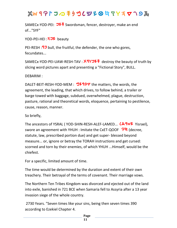SAMECx-YOD-PEI: J<sup>1</sup> Swordsman, fencer, destroyer, make an end of..."SYF"

YOD-PEI-HEI: **102** beauty

PEI-RESH : **97** bull, the fruitful, the defender, the one who gores, fecundates...

SAMECx-YOD-PEI-UAW-RESH-TAV :  $X4YJ\overline{2}$  destroy the beauty of truth by slicing word pictures apart and presenting a "Fictional Story", BULL.

DEBARIM :

DALET-BEIT-RESH-YOD-MEM : **\*92997** the matters, the words, the agreement, the leading, that which drives, to follow behind, a trailer or barge towed with baggage, subdued, overwhelmed, plague, destruction, pasture, rational and theoretical words, eloquence, pertaining to pestilence, cause, reason, manner.

So briefly,

The ancestors of YSRAL ( YOD-SHIN-RESH-ALEF-LAMED... *L***X-9WZ** Yisrael). swore an agreement with YHUH : Imitate the CxET-QOOF **PI** (decree, statute, law, prescribed portion due) and get super- blessed beyond measure... or, ignore or betray the TORAH instructions and get cursed: scorned and torn by their enemies, of which YHUH ...Himself, would be the chiefest.

For a specific, limited amount of time.

The time would be determined by the duration and extent of their own treachery. Their betrayal of the terms of covenant. Their marriage vows.

The Northern Ten Tribes Kingdom was divorced and ejected out of the land into exile, banished in 721 BCE when Samaria fell to Assyria after a 13 year invasion siege of the whole country.

2730 Years. "Seven times like your sins, being then seven times 390 according to Ezekiel Chapter 4.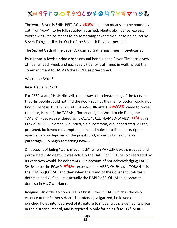The word Seven is SHIN-BEIT-AYIN **09W** and also means " to be bound by oath" or "vow" , to be full, satiated, satisfied, plenty, abundance, excess, overflowing. It also means to do something seven times, or to be bound by Seven Things... Like the Oath of the Seventh Day... or perhaps...

The Sacred Oath of the Seven Appointed Gathering Times in Leviticus 23

By custom, a Jewish bride circles around her husband Seven Times as a vow of fidelity. Each week and each year, Fidelity is affirmed in walking out the commandment to HALAKA the DEREK as pre-scribed.

Who's the Bride?

Read Daniel 9: 4-20

For 2730 years, YHUH Himself, took away all understanding of the facts, so that His people could not find the door- such as the men of Sodom could not find it (Genesis 19: 11) . YOD-HEI-UAW-SHIN-AYIN **OWYAZ** came to reveal the door, Himself, the TORAH , "incarnate", the Word made Flesh, the "DABIR" -- yet was rendered as "CxALAL" : CxET-LAMED-LAMED *LC*t as in Ezekiel 36: 23. : pierced, wounded, slain, common, vile, desecrated, vulgar, profaned, hollowed out, emptied, punched holes into like a flute, ripped apart, a person deprived of the priesthood, a priest of questionable parentage... To begin something new---

On account of being "word made flesh", when YAHUSHA was shredded and perforated unto death, it was actually the DABIR of ELOHIM so desecrated by its very own would- be adherents. On account of not acknowledging YAH'S SHUA to be the ECxAD  $\nabla \ddot{\mathbf{A}}$  expression of ABBA YHUH, as is TORAH as is the RUACx QODESH, and then when the "law" of the Covenant Statutes is defamed and vilified. It is actually the DABIR of ELOHIM so desecrated, done so in His Own Name.

Imagine... In order to honor Jesus Christ... the TORAH, which is the very essence of the Father's Heart, is profaned, vulgarized, hollowed out, punched holes into, deprived of its nature to model truth, is denied its place in the historical record, and is rejoiced in only for being "EMPTY". VOID.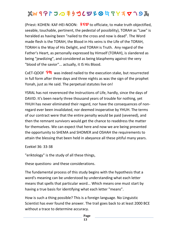(Priest: KOHEN: KAF-HEI-NOON: **/ 19** to officiate, to make truth objectified, seeable, touchable, pertinent, the pedestal of possibility), TORAH as "Law" is heralded as having been "nailed to the cross and now is dead". The Word made flesh is the TORAH, the Blood in His veins is the Life of the TORAH, TORAH is the Way of His Delight, and TORAH is Truth. Any regard of the Father's Heart, as personally expressed by Himself (TORAH), is slandered as being "jewdizing", and considered as being blasphemy against the very "blood of the savior"... actually, it IS His Blood.

CxET-QOOF **PU** was indeed nailed to the execution stake, but resurrected in full form after three days and three nights as was the sign of the prophet Yonah, just as He said. The perpetual statutes live on!

YSRAL has not reverenced the Instructions of Life, hardly, since the days of DAVID. It's been nearly three thousand years of trouble for nothing, yet YHUH has never eliminated their regard, nor have the consequences of nonregard ever been invalidated, nor deemed inoperative by YHUH. The terms of our contract were that the entire penalty would be paid (sevened), and then the remnant survivors would get the chance to readdress the matter for themselves. We can expect that here and now we are being presented the opportunity to SHEMA and SHOMER and OSHAH the requirements to attain the blessing that been held in abeyance all these pitiful many years.

Ezekiel 36: 33-38

"eriktology" is the study of all these things,

these questions- and these considerations.

The fundamental process of this study begins with the hypothesis that a word's meaning can be understood by understanding what each letter means that spells that particular word... Which means one must start by having a true basis for identifying what each letter "means".

How is such a thing possible? This is a foreign language. No Linguistic Scientist has ever found the answer. The trail goes back to at least 2000 BCE without a trace to determine accuracy.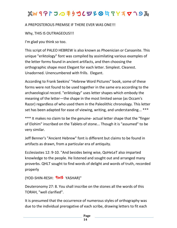# $\chi$  **w** 4 P  $\mathsf{r}$   $\mathsf{J}$   $\varpi$  =  $\mathsf{f}$   $\mathsf{y}$   $\mathsf{f}$   $\mathsf{y}$   $\mathsf{f}$   $\mathsf{g}$   $\mathsf{f}$   $\mathsf{f}$   $\mathsf{y}$   $\mathsf{f}$   $\mathsf{y}$   $\mathsf{f}$   $\mathsf{y}$   $\mathsf{f}$   $\mathsf{y}$   $\mathsf{f}$   $\mathsf{y}$   $\mathsf{y}$   $\mathsf{f}$   $\mathsf{y}$   $\math$

#### A PREPOSTEROUS PREMISE IF THERE EVER WAS ONE!!!

#### Why, THIS IS OUTRAGEOUS!!!

I'm glad you think so too.

This script of PALEO HEBREW is also known as Phoenician or Canaanite. This unique "eriktology" font was compiled by assimilating various examples of the letter forms found in ancient artifacts, and then choosing the orthographic shape most Elegant for each letter. Simplest. Clearest. Unadorned. Unencumbered with frills. Elegant.

According to Frank Seekins' "Hebrew Word Pictures" book, some of these forms were not found to be used together in the same era according to the archaeological record. "eriktology" uses letter shapes which embody the meaning of the letter—the shape in the most limited sense (as Occam's Razor) regardless of who used them in the Paleolithic chronology. This letter set has been adapted for ease of viewing, writing, and understanding... \*\*\*

\*\*\* It makes no claim to be the genuine- actual letter shape that the "finger of Elohim" inscribed on the Tablets of stone... Though it is "assumed" to be very similar.

Jeff Benner's "Ancient Hebrew" font is different but claims to be found in artifacts as drawn, from a particular era of antiquity.

Ecclesiastes 12: 9-10. "And besides being wise, QoHeLeT also imparted knowledge to the people. He listened and sought out and arranged many proverbs. QHLT sought to find words of delight and words of truth, recorded properly

```
(YOD-SHIN-RESH: 9WZ YASHAR)"
```
Deuteronomy 27: 8. You shall inscribe on the stones all the words of this TORAH, "well clarified".

It is presumed that the occurrence of numerous styles of orthography was due to the individual prerogative of each scribe, drawing letters to fit each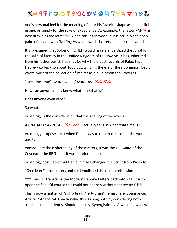one's personal feel for the meaning of it, or his favorite shape as a beautiful image, or simply for the sake of expedience. As example, the letter KAF  $\mathbf{F}$  is best drawn as the letter "K" when carving in wood, but is actually the open palm of a hand with five fingers which works better on paper than wood.

It is presumed that Solomon (QHLT) would have standardized the script for the sake of literacy in the Unified Kingdom of the Twelve Tribes, inherited from his father David. This may be why the oldest records of Paleo type Hebrew go back to about 1000 BCE which is the era of their dominion. David wrote most of the collection of Psalms as did Solomon the Proverbs.

"Until the Time". AYIN-DALET / AYIN-TAV **X**o\**V**o

How can anyone really know what time that is?

Does anyone even care?

So what.

eriktology is the consideration that the spelling of the words

AYIN-DALET/ AYIN TAV  $\bigtimes$   $\bigcirc\bigvee\bigcirc$  actually tells us when that time is !

eriktology proposes that when Daniel was told to make unclear the words and to

encapsulate the cipherability of the matters, it was the DEBARIM of the Covenant, the BRIT, that it was in reference to.

eriktology postulates that Daniel himself changed the Script from Paleo to

"Chaldean Flame" letters and so demolished their comprehension.

\*\*\* Thus, to transcribe the Modern Hebrew Letters back into PALEO is to open the Seal. Of course this could not happen without decree by YHUH.

This is now a matter of "right- brain / left- brain" hemispheric dominance. Artistic / Analytical. Functionally, this is using both by considering both aspects. Independently, Simultaneously, Synergistically. A whole new view.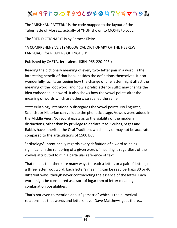The "MISHKAN PATTERN" is the code mapped to the layout of the Tabernacle of Moses... actually of YHUH shown to MOSHE to copy.

The "RED DICTIONARY" is by Earnest Klein:

"A COMPREHENSIVE ETYMOLOGICAL DICTIONARY OF THE HEBREW LANGUAGE for READERS OF ENGLISH"

Published by CARTA, Jerusalem. ISBN 965-220-093-x

Reading the dictionary meaning of every two- letter pair in a word, is the interesting benefit of that book besides the definitions themselves. It also wonderfully facilitates seeing how the change of one letter might affect the meaning of the root word, and how a prefix letter or suffix may change the idea embedded in a word. It also shows how the vowel points alter the meaning of words which are otherwise spelled the same.

\*\*\*\* eriktology intentionally disregards the vowel points. No linguistic, Scientist or Historian can validate the phonetic usage. Vowels were added in the Middle Ages. No record exists as to the viability of the modern distinctions, other than by privilege to declare it so. Scribes, Sages and Rabbis have inherited the Oral Tradition, which may or may not be accurate compared to the articulations of 1500 BCE.

"eriktology" intentionally regards every definition of a word as being significant in the rendering of a given word's "meaning" , regardless of the vowels attributed to it in a particular reference of text.

That means that there are many ways to read: a letter, or a pair of letters, or a three letter root word. Each letter's meaning can be read perhaps 30 or 40 different ways, though never contradicting the essence of the letter. Each word might be considered as a sort of logarithm of letter meaning combination possibilities.

That's not even to mention about "gematria" which is the numerical relationships that words and letters have! Dave Matthews goes there...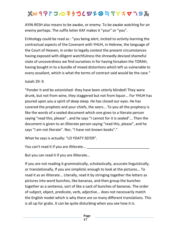AYIN-RESH also means to be awake, or enemy. To be awake watching for an enemy perhaps. The suffix letter KAF makes it "your" or "you".

Eriktology could be read as : "you being alert, incited to activity learning the contractual aspects of the Covenant with YHUH, in Hebrew, the language of the Court of Heaven, in order to legally contest the present circumstances having exposed with diligent watchfulness the shrewdly devised shameful state of uncoverdness we find ourselves in for having forsaken the TORAH, having bought in to a bundle of mixed distortions which left us vulnerable to every assailant, which is what the terms of contract said would be the case."

Isaiah 29: 9.

"Ponder it and be astonished- they have been utterly blinded! They were drunk, but not from wine, they staggered but not from liquor... For YHUH has poured upon you a spirit of deep sleep. He has closed our eyes. He has covered the prophets and your chiefs, the seers... To you all the prophecy is like the words of a sealed document which one gives to a literate person saying "read this, please" , and he says "I cannot for it is sealed"... Then the document is given to an illiterate person saying "read this, please", and he says "I am not literate". Nor, "I have not known books"."

What he says is actually: "LO YDATY SEFER".

You can't read it if you are illiterate...

But you can read it if you are illiterate...

If you are not reading it grammatically, scholastically, accurate linguistically, or translationally, If you are simplistic enough to look at the pictures... To read it as an illiterate... Literally, read it by stringing together the letters as pictures into word bunches, like bananas, and then group the bunches together as a sentence, sort of like a sack of bunches of bananas. The order of subject, object, predicate, verb, adjective... does not necessarily match the English model which is why there are so many different translations. This is all up for grabs. It can be quite disturbing when you see how it is.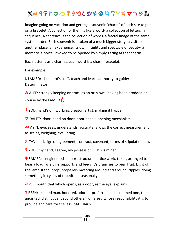Imagine going on vacation and getting a souvenir "charm" of each site to put on a bracelet. A collection of them is like a word- a collection of letters in sequence. A sentence is the collection of words, a fractal image of the same system order. Each souvenir is a token of a much bigger story- a visit to another place, an experience, its own insights and spectacle of beauty- a memory, a portal invoked to be opened by simply gazing at that charm.

Each letter is as a charm... each word is a charm- bracelet.

For example:

*l* LAMED: shepherd's staff, teach and learn: authority to guide: Determinator

A ALEF: strongly keeping on track as an ox plows- having been prodded on course by the LAMED  $\mathcal{L}$ 

*V* YOD: hand's on, working, creator, artist, making it happen

 $\nabla$  DALET: door, hand on door, door handle opening mechanism

*D* AYIN: eye, sees, understands, accurate, allows the correct measurement as scales, weighing, evaluating

**X** TAV: end, sign of agreement, contract, covenant, terms of stipulation: law

*V* YOD: my hand, I agree, my possession, "This is mine"

**F** SAMECx: engineered support structure, lattice work, trellis, arranged to bear a load, as a vine supports and feeds it's branches to bear fruit, Light of the lamp stand, prop- propeller- motoring around and around: ripples, doing something in cycles of repetition, seasonally

*p* PEI: mouth that which opens, as a door, as the eye, explains

**F** RESH: exalted man, honored, adored- preferred and esteemed one, the anointed, distinctive, beyond others... Chiefest, whose responsibility it is to provide and care for the less. MASHIACx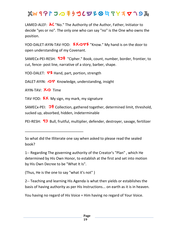LAMED-ALEF:  $\lambda$ C "No." The Authority of the Author, Father, Initiator to decide "yes or no". The only one who can say "no" is the One who owns the position.

YOD-DALET-AYIN-TAV-YOD:  $2X\overline{\circ}$  "Know." My hand is on the door to open understanding of my Covenant.

SAMECx-PEI-RESH:  $\overline{1}$ <sup>+</sup> "Cipher." Book, count, number, border, frontier, to cut, fence- post line, narrative of a story, barber, shape.

YOD-DALET:  $\nabla^2$  Hand, part, portion, strength

DALET-AYIN: *○▽* Knowledge, understanding, insight

AYIN-TAV: **XO** Time

TAV-YOD: **2X** My sign, my mark, my signature

SAMECx-PEI:  $\overrightarrow{J}$  Collection, gathered together, determined limit, threshold, sucked up, absorbed, hidden, indeterminable

PEI-RESH: **97** Bull, fruitful, multiplier, defender, destroyer, savage, fertilizer

1-- Regarding The governing authority of the Creator's "Plan" , which He determined by His Own Honor, to establish at the first and set into motion by His Own Decree to be "What It Is".

(Thus, He is the one to say "what it's not" )

\_\_\_\_\_\_\_\_\_\_\_\_\_\_\_\_\_\_\_\_\_\_\_\_\_\_\_\_\_

2-- Teaching and learning His Agenda is what then yields or establishes the basis of having authority as per His Instructions... on earth as it is in heaven.

You having no regard of His Voice = Him having no regard of Your Voice.

So what did the Illiterate one say when asked to please read the sealed book?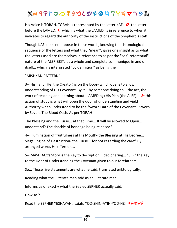His Voice is TORAH. TORAH is represented by the letter KAF, <sup>9</sup> the letter before the LAMED, *l* which is what the LAMED is in reference to when it indicates to regard the authority of the instructions of the Shepherd's staff.

Though KAF does not appear in these words, knowing the chronological sequence of the letters and what they "mean", gives one insight as to what the letters used are themselves in reference to as per the "self- referential" nature of the ALEF-BEIT, as a whole and complete communique in and of itself... which is interpreted "by definition" as being the

#### "MISHKAN PATTERN"

3-- His hand (He, the Creator) is on the Door- which opens to allow understanding of His Covenant. By it... by someone doing so... the act, the work of teaching and learning about (LAMEDing) His Plan (the ALEF)... **A** this action of study is what will open the door of understanding and yield Authority when understood to be the "Sworn Oath of the Covenant". Sworn by Seven. The Blood Oath. As per TORAH

The Blessing and the Curse... at that Time... It will be allowed to Open... understand? The shackle of bondage being released?

4-- Illumination of fruitfulness at His Mouth- the Blessing at His Decree... Siege Engine of Destruction- the Curse... for not regarding the carefully arranged words He offered us.

5-- MASHIACx's Story is the Key to decryption... deciphering... "SFR" the Key to the Door of Understanding the Covenant given to our forefathers,

So... Those five statements are what he said, translated eriktologically.

Reading what the illiterate man said as an illiterate man...

Informs us of exactly what the Sealed SEPHER actually said.

How so ?

Read the SEPHER YESHAYAH: Isaiah, YOD-SHIN-AYIN-YOD-HEI 320W2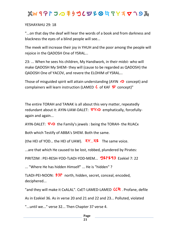### $x^2 + y^2 + 2$  *a h n a f y i y n y i y i y i y i y i y i y i y i y i y i y i y i y i y i y i y i y i y i y i y i y i y*

YESHAYAHU 29: 18

"...on that day the deaf will hear the words of a book and from darkness and blackness the eyes of a blind people will see...

The meek will increase their joy in YHUH and the poor among the people will rejoice in the QADOSH One of YSRAL...

23: ... When he sees his children, My Handiwork, in their midst- who will make QADOSH My SHEM- they will (cause to be regarded as QADOSH) the QADOSH One of YACOV, and revere the ELOHIM of YSRAL...

Those of misguided spirit will attain understanding (AYIN  $\odot$  concept) and complainers will learn instruction (LAMED *l* of KAF  $\mathbf{W}$  concept)"

The entire TORAH and TANAK is all about this very matter, repeatedly redundant about it: AYIN-UAW-DALET:  $\nabla$ Y<sub>2</sub> emphatically, forcefullyagain and again...

AYIN-DALET:  $\nabla \odot$  the Family's jewels : being the TORAH- the RUACx

Both which Testify of ABBA's SHEM. Both the same.

(the HEI of YOD... the HEI of UAW). *hv... <b>17* The same voice.

...are that which He caused to be lost, robbed, plundered by Pirates:

PIRITZIM : PEI-RESH-YOD-TzADI-YOD-MEM... **\*921293** Ezekiel 7: 22

... "Where He has hidden Himself" ... He is "hidden" ?

TzADI-PEI-NOON:  $\overline{2D}^{\prime\prime}$  north, hidden, secret, conceal, encoded, deciphered...

"and they will make it CxALAL". CxET-LAMED-LAMED *LC***L**. Profane, defile

As in Ezekiel 36. As in verse 20 and 21 and 22 and 23... Polluted, violated

"...until we..." verse 32... Then Chapter 37 verse 4.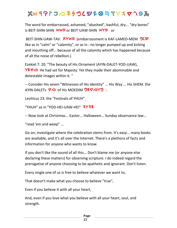The word for embarrassed, ashamed, "abashed", bashful, dry... "dry bones" is BEIT-SHIN-SHIN **WW9** or BEIT-UAW-SHIN **WY9** or

BEIT-SHIN-UAW-TAV. **XYW9** (embarrassment is KAF-LAMED-MEM **"ICS"** like as in "calm" or "calamity", or as in : no longer pumped up and kicking and mouthing off... because of all the calamity which has happened because of all the noise of rebellion.)

Ezekiel 7: 20. "The beauty of His Ornament (AYIN-DALET-YOD-UAW), *W*<sup>2</sup> He had set for Majesty. Yet they made their abominable and detestable images within it. "

-- Consider His seven "Witnesses of His Identity" ... His Way ... His SHEM. the AYIN-DALETs ∇⁄Ͽ of His MOEDIM **ツ<sup>2</sup>▽⊘Yツ** :

Leviticus 23: the "Festivals of YHUH".

"YHUH" as in "YOD-HEI-UAW-HEI" **AYAZ** 

-- Now look at Christmas... Easter... Halloween... Sunday observance law...

"read 'em and weep" ...

Go on; investigate where the celebration stems from. It's easy... many books are available, and it's all over the Internet. There's a plethora of facts and information for anyone who wants to know.

If you don't like the sound of all this... Don't blame me (or anyone else declaring these matters) for observing scripture. I do indeed regard the prerogative of anyone choosing to be apathetic and ignorant. Don't listen.

Every single one of us is free to believe whatever we want to,

That doesn't make what you choose to believe "true",

Even if you believe it with all your heart,

And, even if you love what you believe with all your heart, soul, and strength.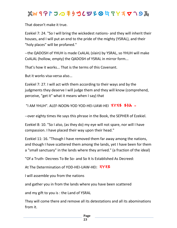That doesn't make it true.

Ezekiel 7: 24. "So I will bring the wickedest nations- and they will inherit their houses, and I will put an end to the pride of the mighty (YSRAL), and their "holy places" will be profaned."

--the QADOSH of YHUH is made CxALAL (slain) by YSRAL, so YHUH will make CxALAL (hollow, empty) the QADOSH of YSRAL in mirror form...

That's how it works... That is the terms of this Covenant.

But it works visa-versa also...

Ezekiel 7: 27. I will act with them according to their ways and by the judgments they deserve I will judge them and they will know (comprehend, perceive, "get it" what it means when I say) that

"I AM YHUH". ALEF-NOON-YOD YOD-HEI-UAW-HEI **3Y37 754 -**

--over eighty times He says this phrase in the Book, the SEPHER of Ezekiel.

Ezekiel 8: 10. "So I also, (as they do) my eye will not spare, nor will I have compassion. I have placed their way upon their head."

Ezekiel 11: 16. "Though I have removed them far away among the nations, and though I have scattered them among the lands, yet I have been for them a "small sanctuary" in the lands where they arrived." (a fraction of the ideal)

"Of a Truth- Decrees To Be So- and So It Is Established As Decreed:

At The Determination of YOD-HEI-UAW-HEI: **3Y3Z** 

I will assemble you from the nations

and gather you in from the lands where you have been scattered

and my gift to you is : the Land of YSRAL

They will come there and remove all its detestations and all its abominations from it.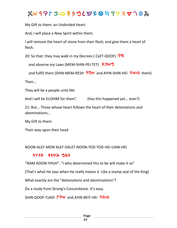My Gift to them: an Undivided Heart.

And, I will place a New Spirit within them.

I will remove the heart of stone from their flesh, and give them a heart of flesh.

20: So that: they may walk in my Decrees ( CxET-QOOF) **P4** 

and observe my Laws (MEM-SHIN-PEI-TET) XJW<sup>4</sup>

and fulfill them (SHIN-MEM-RESH  $\frac{90}{90}$  and AYIN-SHIN-HEI  $\frac{100}{90}$  them)

Then...

They will be a people unto Me

And I will be ELOHIM for them". (Has this happened yet... ever?)

21: But... Those whose heart follows the heart of their detestations and abominations...

My Gift to them:

Their way upon their head

#### NOON-ALEF-MEM ALEF-DALET-NOON-YOD YOD-HEI-UAW-HEI

#### *hwhy ynda man*

"NAM ADONI YHUH". "I who determined this to be will make it so"

(That's what He says when He really means it. Like a stamp seal of the King)

What exactly are the "detestations and abominations"?

Do a study from Strong's Concordance. It's easy.

SHIN-QOOF-TzADI **<sup>r</sup>PW** and AYIN-BEIT-HEI **190**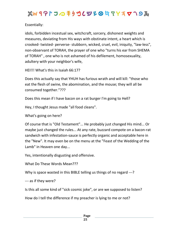Essentially:

idols, forbidden incestual sex, witchcraft, sorcery, dishonest weights and measures, deviating from His ways with obstinate intent, a heart which is crooked- twisted- perverse- stubborn, wicked, cruel, evil, iniquity, "law-less", non-observant of TORAH, the prayer of one who "turns his ear from SHEMA of TORAH" , one who is not ashamed of his defilement, homosexuality, adultery with your neighbor's wife,

HEI!!! What's this in Isaiah 66:17?

Does this actually say that YHUH has furious wrath and will kill: "those who eat the flesh of swine, the abomination, and the mouse; they will all be consumed together."???

Does this mean if I have bacon on a rat burger I'm going to Hell?

Hey, I thought Jesus made "all food cleans".

What's going on here?

Of course that is "Old Testament"... He probably just changed His mind... Or maybe just changed the rules... At any rate, buzzard compote on a bacon-rat sandwich with infestation-sauce is perfectly organic and acceptable here in the "New". It may even be on the menu at the "Feast of the Wedding of the Lamb" in Heaven one day...

Yes, intentionally disgusting and offensive.

What Do These Words Mean???

Why is space wasted in this BIBLE telling us things of no regard ---?

--- as if they were?

Is this all some kind of "sick cosmic joke", or are we supposed to listen?

How do I tell the difference if my preacher is lying to me or not?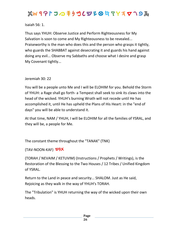#### Isaiah 56: 1.

Thus says YHUH: Observe Justice and Perform Righteousness for My Salvation is soon to come and My Righteousness to be revealed... Praiseworthy is the man who does this and the person who grasps it tightly, who guards the SHABBAT against desecrating it and guards his hand against doing any evil... Observe my Sabbaths and choose what I desire and grasp My Covenant tightly...

Jeremiah 30: 22

You will be a people unto Me and I will be ELOHIM for you. Behold the Storm of YHUH: a Rage shall go forth- a Tempest shall seek to sink its claws into the head of the wicked. YHUH's burning Wrath will not recede until He has accomplished it, until He has upheld the Plans of His Heart: in the "end of days" you will be able to understand it.

At that time, NAM / YHUH, I will be ELOHIM for all the families of YSRAL, and they will be, a people for Me.

The constant theme throughout the "TANAK" (TNK)

**(TAV-NOON-KAF) ツクメ** 

(TORAH / NEVAIM / KETUVIM) (Instructions / Prophets / Writings), is the Restoration of the Blessing to the Two Houses / 12 Tribes / Unified Kingdom of YSRAL.

Return to the Land in peace and security... SHALOM. Just as He said, Rejoicing as they walk in the way of YHUH's TORAH.

The "Tribulation" is YHUH returning the way of the wicked upon their own heads.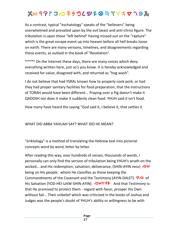As a contrast, typical "eschatology" speaks of the "believers" being overwhelmed and prevailed upon by the evil beast and anti-christ figure. The tribulation is upon those "left behind" having missed out on the "rapture" which is the great escape event up into heaven before all hell breaks loose on earth. There are many versions, timelines, and disagreements regarding these events, as outlaid in the book of "Revelation".

\*\*\*\*\* On the Internet these days, there are many voices which deny everything written here, just so's you know. It is hereby acknowledged and received for value, disagreed with, and returned as "hog wash".

I do not believe that had YSRAL known how to properly cook pork, or had they had proper sanitary facilities for food preparation, that the Instructions of TORAH would have been different... Praying over a Pig doesn't make it QADOSH nor does it make it suddenly clean food. YHUH said it isn't food.

How many have heard the saying "God said it, I believe it, that settles it.

WHAT DID ABBA YAHUAH SAY? WHAT DID HE MEAN?

"eriktology" is a method of translating the Hebrew text into pictorial concepts word by word, letter by letter.

After reading this way, over hundreds of verses, thousands of words, I personally can only find the version of tribulation being YHUH's wrath on the wicked... and His redemption, salvation, deliverance, (SHIN-AYIN ness) **OW** being on His people: whom He classifies as those keeping the Commandments of the Covenant and the Testimony (AYIN-DALET)  $\nabla\Phi$  of His Salvation (YOD-HEI-UAW-SHIN-AYIN). *OWYAZ* And that Testimony is: that He promised to protect them - regard with favor, prosper His Own without fail... Their unbelief which was criticized in the books of Joshua and Judges was the people's doubt of YHUH's ability or willingness to be with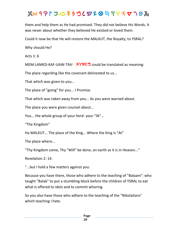# $x^2 + y^2 + 2$  *a h n a f y i y h a h y i y h a h y i y n a h y i y n y i y i y i y i y i y i y i y i y i y i y i y i y*

them and help them as He had promised. They did not believe His Words. It was never about whether they believed He existed or loved them.

Could it now be that He will restore the MALKUT, the Royalty, to YSRAL?

Why should He?

Acts 1: 6

MEM-LAMED-KAF-UAW-TAV: XYYU<sup>3</sup> could be translated as meaning:

The place regarding like the covenant delineated to us...

That which was given to you...

The place of "going" for you... I Promise.

That which was taken away from you... As you were warned about.

The place you were given counsel about...

You... the whole group of your herd- your "ilk"...

"The Kingdom"

Ha MALKUT... The place of the King... Where the King is "At"

The place where...

"Thy Kingdom come, Thy "Will" be done, on earth as it is in Heaven..."

Revelation 2: 14.

"...but I hold a few matters against you:

Because you have there, those who adhere to the teaching of "Balaam": who taught "Balak" to put a stumbling block before the children of YSRAL to eat what is offered to idols and to commit whoring.

So you also have those who adhere to the teaching of the "Nikolaitans" which teaching I hate.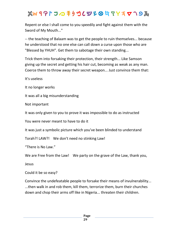# $x^2 + y^2 + 2$  *a h n a f y i y h a h y i y h a h y i y n a h y i y n y i y i y i y i y i y i y i y i y i y i y i y i y*

Repent or else I shall come to you speedily and fight against them with the Sword of My Mouth..."

-- the teaching of Balaam was to get the people to ruin themselves... because he understood that no one else can call down a curse upon those who are "Blessed by YHUH". Get them to sabotage their own standing...

Trick them into forsaking their protection, their strength... Like Samson giving up the secret and getting his hair cut, becoming as weak as any man. Coerce them to throw away their secret weapon... Just convince them that:

It's useless

It no longer works

It was all a big misunderstanding

Not important

It was only given to you to prove it was impossible to do as instructed

You were never meant to have to do it

It was just a symbolic picture which you've been blinded to understand

Torah?! LAW?! We don't need no stinking Law!

"There is No Law."

We are Free from the Law! We party on the grave of the Law, thank you,

Jesus

Could it be so easy?

Convince the undefeatable people to forsake their means of invulnerability... ...then walk in and rob them, kill them, terrorize them, burn their churches down and chop their arms off like in Nigeria... threaten their children.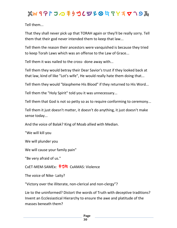Tell them...

That they shall never pick up that TORAH again or they'll be really sorry. Tell them that their god never intended them to keep that law...

Tell them the reason their ancestors were vanquished is because they tried to keep Torah Laws which was an offense to the Law of Grace...

Tell them it was nailed to the cross- done away with...

Tell them they would betray their Dear Savior's trust if they looked back at that law, kind of like "Lot's wife", He would really hate them doing that...

Tell them they would "blaspheme His Blood" if they returned to His Word...

Tell them the "Holy Spirit" told you it was unnecessary...

Tell them that God is not so petty so as to require conforming to ceremony...

Tell them it just doesn't matter, it doesn't do anything, it just doesn't make sense today...

And the voice of Balak? King of Moab allied with Median.

"We will kill you

We will plunder you

We will cause your family pain"

"Be very afraid of us."

CxET-MEM-SAMEx: **手ツ片** CxAMAS: Violence

The voice of Nike- Laity?

"Victory over the illiterate, non-clerical and non-clergy"?

Lie to the uninformed? Distort the words of Truth with deceptive traditions? Invent an Ecclesiastical Hierarchy to ensure the awe and platitude of the masses beneath them?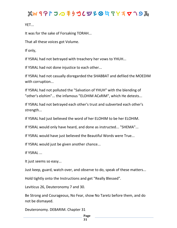YET...

It was for the sake of Forsaking TORAH...

That all these voices got Volume.

If only,

If YSRAL had not betrayed with treachery her vows to YHUH...

If YSRAL had not done injustice to each other...

If YSRAL had not casually disregarded the SHABBAT and defiled the MOEDIM with corruption...

If YSRAL had not polluted the "Salvation of YHUH" with the blending of "other's elohim"... the infamous "ELOHIM ACxRIM", which He detests...

If YSRAL had not betrayed each other's trust and subverted each other's strength...

If YSRAL had just believed the word of her ELOHIM to be her ELOHIM.

If YSRAL would only have heard, and done as instructed... "SHEMA"...

If YSRAL would have just believed the Beautiful Words were True...

If YSRAL would just be given another chance...

If YSRAL ...

It just seems so easy...

Just keep, guard, watch over, and observe to do, speak of these matters...

Hold tightly onto the Instructions and get "Really Blessed".

Leviticus 26, Deuteronomy 7 and 30.

Be Strong and Courageous, No Fear, show No Taretz before them, and do not be dismayed.

Deuteronomy. DEBARIM. Chapter 31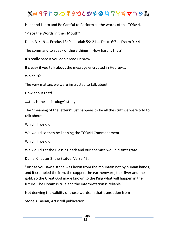### $x^2 + y^2 + 2$  *a h n a f y i y h a h y i y h a h y i y n a h y i y n y i y i y i y i y i y i y i y i y i y i y i y i y*

Hear and Learn and Be Careful to Perform all the words of this TORAH.

"Place the Words in their Mouth"

Deut. 31: 19 ... Exodus 13: 9 ... Isaiah 59: 21 ... Deut. 6:7 ... Psalm 91: 4

The command to speak of these things... How hard is that?

It's really hard if you don't read Hebrew...

It's easy if you talk about the message encrypted in Hebrew...

Which is?

The very matters we were instructed to talk about.

How about that!

....this is the "eriktology" study:

The "meaning of the letters" just happens to be all the stuff we were told to talk about...

Which if we did...

We would so then be keeping the TORAH Commandment...

Which if we did...

We would get the Blessing back and our enemies would disintegrate.

Daniel Chapter 2, the Statue. Verse 45:

"Just as you saw a stone was hewn from the mountain not by human hands, and it crumbled the iron, the copper, the earthenware, the silver and the gold; so the Great God made known to the King what will happen in the future. The Dream is true and the interpretation is reliable."

Not denying the validity of those words, in that translation from

Stone's TANAK, Artscroll publication...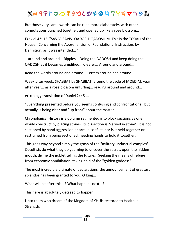# $x^2 + y^2 + 2$  *a h n a f y i y h a h y i y h a h y i y n a h y i y n y i y i y i y i y i y i y i y i y i y i y i y i y*

But those very same words can be read more elaborately, with other connotations bunched together, and opened up like a rose blossom...

Ezekiel 43: 12. "SAVIV SAVIV QADOSH QADOSHIM. This is the TORAH of the House...Concerning the Apprehension of Foundational Instruction, by Definition, as it was intended... "

...around and around... Ripples... Doing the QADOSH and keep doing the QADOSH as it becomes amplified... Clearer... Around and around...

Read the words around and around... Letters around and around...

Week after week, SHABBAT by SHABBAT, around the cycle of MOEDIM, year after year... as a rose blossom unfurling... reading around and around...

eriktology translation of Daniel 2: 45 ...

"Everything presented before you seems confusing and confrontational, but actually is being clear and "up front" about the matter.

Chronological History is a Column segmented into block sections as one would construct by placing stones. Its dissection is "carved in stone". It is not sectioned by hand aggression or armed conflict, nor is it held together or restrained from being sectioned, needing hands to hold it together.

This goes way beyond simply the grasp of the "military- industrial complex". Occultists do what they do yearning to uncover the secret: open the hidden mouth, divine the goblet telling the future... Seeking the means of refuge from economic annihilation: taking hold of the "golden goddess".

The most incredible ultimate of declarations, the announcement of greatest splendor has been granted to you, O King...

What will be after this...? What happens next...?

This here is absolutely decreed to happen...

Unto them who dream of the Kingdom of YHUH restored to Health in Strength: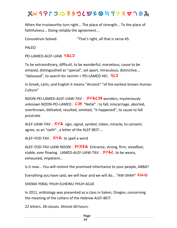When the trustworthy turn right... The place of strength... To the place of faithfulness... Doing reliably the agreement...

Conundrum Solved. "That's right, all that is verse 45.

PALEO

```
PEI-LAMED-ALEF-UAW YACJ
```
To be extraordinary, difficult, to be wonderful, marvelous, cause to be amazed, distinguished as "special", set apart, miraculous, distinctive... "deloused", to search for vermin = PEI-LAMED-HEI. **ACJ** 

In Greek, Latin, and English it means "Ancient" "of the earliest known Human Culture"

NOON-PEI-LAMED-ALEF-UAW-TAV : **XYXCJS** wonders, mysteriously unknown NOON-PEI-LAMED : CJ<sub>7</sub> "Nefal" : to fall, miscarriage, aborted, overthrown, defeated, resulted, omitted, "it happened", to cause to fall prostrate

ALEF-UAW-TAV :  $XY^*$  sign, signal, symbol, token, miracle, to consent, agree, as an "oath" , a letter of the ALEF-BEIT....

ALEF-YOD-TAV : XYA to spell a word

ALEF-YOD-TAV-UAW-NOON :  $\frac{64}{10}$  Entrance, strong, firm, steadfast, stable, ever flowing. LAMED-ALEF-UAW-TAV : **XYXC** to be weary, exhausted, impatient...

Is it now... You will restore the promised inheritance to your people, ABBA?

Everything you have said, we will hear and we will do... "AW-SHAH" **AWO** 

SHEMA YSRAL YHUH ELHEINU YHUH ACxD

In 2011, eriktology was presented as a class in Salem, Oregon, concerning the meaning of the Letters of the Hebrew ALEF-BEIT.

22 letters. 28 classes. Almost 60 hours.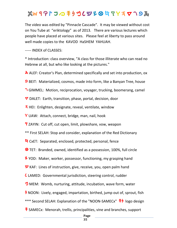### $x^2 + y^2 + 2$  *a h n a f y i y n y i y i y i y i y i y i y i y i y i y i y i y i y i y i y i y i y i y i y i y i y i y*

The video was edited by "Pinnacle Cascade". It may be viewed without cost on You Tube at "eriktology" as of 2013. There are various lectures which people have placed at various sites. Please feel at liberty to pass around well made copies to the KAVOD HaSHEM YAHUAH.

----- INDEX of CLASSES:

\* Introduction: class overview, "A class for those illiterate who can read no Hebrew at all, but who like looking at the pictures."

**ALEF:** Creator's Plan, determined specifically and set into production, ox

**9** BEIT: Materialized, cosmos, made into form, like a Banyan Tree, house

*g* GIMMEL: Motion, reciprocation, voyager, trucking, boomerang, camel

 $∇$  DALET: Earth, transition, phase, portal, decision, door

*h* HEI: Enlighten, designate, reveal, ventilate, window

**Y** UAW: Attach, connect, bridge, man, nail, hook

*z* ZAYIN: Cut off, cut open, limit, plowshare, vow, weapon

\*\* First SELAH: Stop and consider, explanation of the Red Dictionary

*j* CxET: Separated, enclosed, protected, personal, fence

**<sup>8</sup>** TET: Branded, owned, identified as a possession, 100%, full circle

*V* YOD: Maker, worker, possessor, functioning, my grasping hand

**W** KAF: Lines of instruction, give, receive, you, open palm hand

*l* LAMED: Governmental jurisdiction, steering control, rudder

**M** MEM: Womb, nurturing, attitude, incubation, wave form, water

*b* NOON: Lively, engaged, impartation, birthed, jump out of, sprout, fish

- \*\*\* Second SELAH: Explanation of the "NOON-SAMECx" **\\filtera** logo design
- $\frac{1}{2}$  SAMECx: Menorah, trellis, principalities, vine and branches, support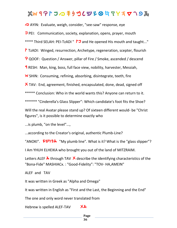*u* AYIN: Evaluate, weigh, consider, "see-saw" response, eye

*p* PEI: Communication, society, explanation, opens, prayer, mouth

\*\*\*\* Third SELAH: PEI-TzADI " **\*** and He opened His mouth and taught..."

*l* TzADI: Winged, resurrection, Archetype, regeneration, scepter, flourish

*q* QOOF: Question / Answer, pillar of Fire / Smoke, ascended / descend

**1** RESH: Man, king, boss, full face view, nobility, harvester, Messiah,

**W** SHIN: Consuming, refining, absorbing, disintegrate, teeth, fire

*t* TAV: End, agreement, finished, encapsulated, done, dead, signed off

\*\*\*\*\* Conclusion: Who in the world wants this? Anyone can return to it.

\*\*\*\*\*\* "Cinderella's Glass Slipper": Which candidate's foot fits the Shoe?

Will the real Avatar please stand up? Of sixteen different would- be "Christ figures", is it possible to determine exactly who

...is plumb, "on the level"...,

...according to the Creator's original, authentic Plumb-Line?

"ANOKI". **ZUYZA** "My plumb line". What is it? What is the "glass slipper"?

I Am YHUH ELHEIKA who brought you out of the land of MITZRAIM.

Letters ALEF  $\lambda$  through TAV X describe the identifying characteristics of the "Bona-Fide" MASHIACx. : "Good-Fidelity": "TOV- HA,AMEIN"

ALEF and TAV

It was written in Greek as "Alpha and Omega"

It was written in English as "First and the Last, the Beginning and the End"

The one and only word never translated from

**Hebrew is spelled ALEF-TAV XX**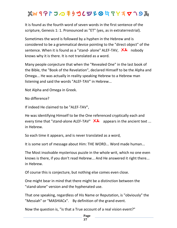# $x^2 + y^2 + 2$  *a h n a f y h a h y i y h a h y n a h y n a h y n y n y h a h y n y n y n y n y n y n y n y n y n y n y*

It is found as the fourth word of seven words in the first sentence of the scripture, Genesis 1: 1. Pronounced as "ET" (yes, as in extraterrestrial).

Sometimes the word is followed by a hyphen in the Hebrew and is considered to be a grammatical device pointing to the "direct object" of the sentence. When it is found as a "stand- alone" ALEF-TAV,  $X^2$  nobody knows why it is there. It is not translated as a word.

Many people conjecture that when the "Revealed One" in the last book of the Bible, the "Book of the Revelation", declared Himself to be the Alpha and Omega... He was actually in reality speaking Hebrew to a Hebrew man listening and said the words "ALEF-TAV" in Hebrew...

Not Alpha and Omega in Greek.

No difference?

If indeed He claimed to be "ALEF-TAV",

He was identifying Himself to be the One referenced cryptically each and every time that "stand-alone ALEF-TAV"  $X^*$  appears in the ancient text ... in Hebrew.

So each time it appears, and is never translated as a word,

It is some sort of message about Him: THE WORD... Word made human...

The Most insolvable mysterious puzzle in the whole writ, which no one even knows is there, if you don't read Hebrew... And He answered it right there... in Hebrew.

Of course this is conjecture, but nothing else comes even close.

One might bear in mind that there might be a distinction between the "stand-alone" version and the hyphenated use.

That one speaking, regardless of His Name or Reputation, is "obviously" the "Messiah" or "MASHIACx". By definition of the grand event.

Now the question is, "is that a True account of a real vision event?"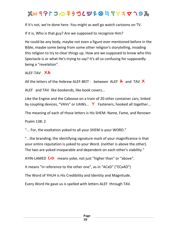If it's not, we're done here. You might as well go watch cartoons on TV.

If it is, Who is that guy? Are we supposed to recognize Him?

He could be any body, maybe not even a figure ever mentioned before in the Bible, maybe some being from some other religion's storytelling, invading this religion to try to clear things up. How are we supposed to know who this Spectacle is or what He's trying to say? It's all so confusing for supposedly being a "revelation".

ALEF-TAV XX

All the letters of the Hebrew ALEF-BEIT : between ALEF  $\lambda$  and TAV X

ALEF and TAV like bookends, like book covers...

Like the Engine and the Caboose on a train of 20 other container cars, linked by coupling devices, "VAVs" or UAWs... **Y** Fasteners, hooked all together...

The meaning of each of those letters is His SHEM: Name, Fame, and Renown

Psalm 138: 2

"... For, the exaltation yoked to all your SHEM is your WORD."

"...the branding, the identifying signature mark of your magnificence is that your entire reputation is yoked to your Word. (neither is above the other). The two are yoked inseparable and dependent on each other's viability."

AYIN-LAMED *l* means yoke, not just "higher than" or "above".

It means "in reference to the other one", as in "ACxD" ("ECxAD")

The Word of YHUH is His Credibility and Identity and Magnitude.

Every Word He gave us is spelled with letters ALEF through TAV.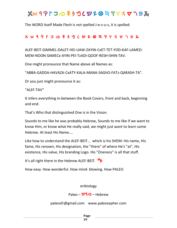The WORD itself Made Flesh is not spelled J-e-s-u-s, it is spelled:

#### *t c r q x p u s n m l k y f j z w h d g b a*

ALEF-BEIT-GIMMEL-DALET-HEI-UAW-ZAYIN-CxET-TET-YOD-KAF-LAMED-MEM-NOON-SAMECx-AYIN-PEI-TzADI-QOOF-RESH-SHIN-TAV.

One might pronounce that Name above all Names as:

"ABBA-GADDA-HAVAZA-CxATY-KALA-MANA-SAGhO-FATz-QARASH-TA".

Or you just might pronounce it as:

"ALEF-TAV"

It infers everything in-between the Book Covers, front and back, beginning and end.

That's Who that distinguished One is in the Vision.

Sounds to me like he was probably Hebrew, Sounds to me like if we want to know Him, or know what He really said, we might just want to learn some Hebrew. At least His Name....

Like how to understand the ALEF-BEIT... which is his SHEM: His name, His fame, His renown, His designation, the "there" of where He's "at", His existence, His value, His branding Logo. His "Oneness" is all that stuff.

It's all right there in the Hebrew ALEF-BEIT. *\$*

How easy. How wonderful. How mind- blowing. How PALEO

eriktology

#### Paleo – **91⁄2** – Hebrew

paleosfr@gmail.com www.paleosepher.com